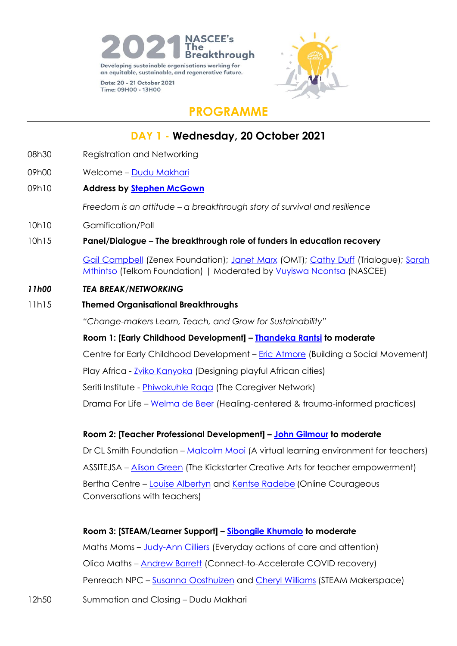

Time: 09H00 - 13H00



# **PROGRAMME**

# **DAY 1 - Wednesday, 20 October 2021**

- 08h30 Registration and Networking
- 09h00 Welcome [Dudu Makhari](https://www.linkedin.com/in/dudu-makhari-mba-phd-candidate-225aa128/)

## 09h10 **Address by [Stephen McGown](https://www.linkedin.com/in/stephen-mcgown-3288b014b/)**

*Freedom is an attitude – a breakthrough story of survival and resilience*

10h10 Gamification/Poll

### 10h15 **Panel/Dialogue – The breakthrough role of funders in education recovery**

[Gail Campbell](https://www.linkedin.com/in/gail-campbell-770a44108/) (Zenex Foundation); [Janet Marx](https://www.linkedin.com/search/results/all/?keywords=janet%20marx&origin=RICH_QUERY_SUGGESTION&position=0&searchId=5b29659d-0a1f-4fcb-8154-ff1c162cfbe6&sid=ULV) (OMT); [Cathy Duff](https://www.linkedin.com/in/cathy-duff-7a6747/) (Trialogue); [Sarah](https://za.linkedin.com/in/sarah-leneisang-mthintso-35883457)  [Mthintso](https://za.linkedin.com/in/sarah-leneisang-mthintso-35883457) (Telkom Foundation) | Moderated by **Vuyiswa Ncontsa** (NASCEE)

### *11h00 TEA BREAK/NETWORKING*

### 11h15 **Themed Organisational Breakthroughs**

*"Change-makers Learn, Teach, and Grow for Sustainability"*

### **Room 1: [Early Childhood Development] – [Thandeka Rantsi](https://www.linkedin.com/in/thandeka-rantsi-a46760137/) to moderate**

Centre for Early Childhood Development – [Eric Atmore](http://www.socialdevelopment.uct.ac.za/Atmore) (Building a Social Movement)

Play Africa - [Zviko Kanyoka](https://www.linkedin.com/in/zvikomborerokanyoka/) (Designing playful African cities)

Seriti Institute - [Phiwokuhle Raqa](https://www.linkedin.com/in/phiwokuhle-raqa-428683119/) (The Caregiver Network)

Drama For Life – [Welma de Beer](https://dramatherapy.co.za/about-me/) (Healing-centered & trauma-informed practices)

# **Room 2: [Teacher Professional Development] – [John Gilmour](https://www.linkedin.com/in/johngilmour1/) to moderate**

Dr CL Smith Foundation – [Malcolm Mooi](https://www.linkedin.com/in/malcolmmooi/) (A virtual learning environment for teachers) ASSITEJSA – [Alison Green](https://www.linkedin.com/in/alison-green-2399105a/) (The Kickstarter Creative Arts for teacher empowerment) Bertha Centre – [Louise Albertyn](https://www.linkedin.com/in/247365111/) and [Kentse Radebe](https://www.linkedin.com/in/kentse-radebe-71451a30/?originalSubdomain=za) (Online Courageous Conversations with teachers)

### **Room 3: [STEAM/Learner Support] – [Sibongile Khumalo](https://www.linkedin.com/in/skhumalo/) to moderate**

Maths Moms – [Judy-Ann Cilliers](https://www.linkedin.com/in/judy-ann-cilliers/) (Everyday actions of care and attention) Olico Maths – [Andrew Barrett](https://www.linkedin.com/in/andrew-barrett-b8825921/) (Connect-to-Accelerate COVID recovery) Penreach NPC – [Susanna Oosthuizen](https://www.linkedin.com/in/susanna-oosthuizen-983b338b/) and [Cheryl Williams](https://www.linkedin.com/in/chezwi/) (STEAM Makerspace)

12h50 Summation and Closing – Dudu Makhari